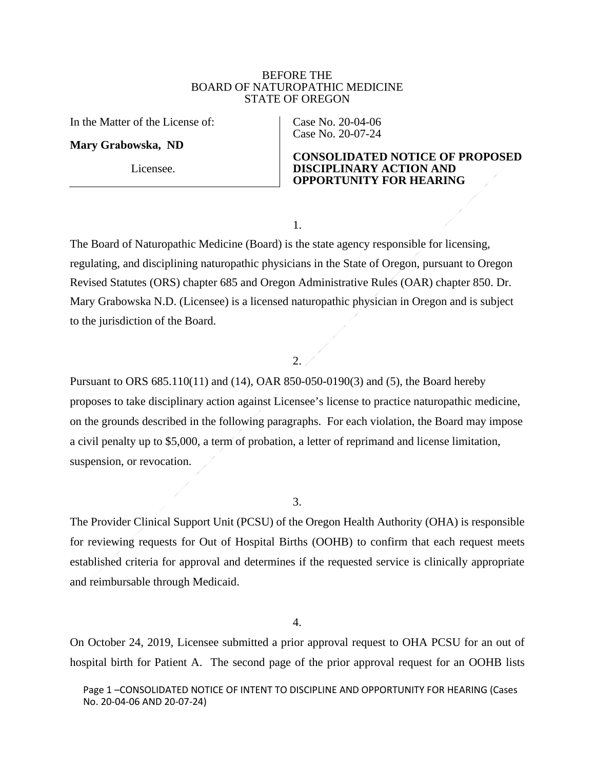## BEFORE THE BOARD OF NATUROPATHIC MEDICINE STATE OF OREGON

In the Matter of the License of:

**Mary Grabowska, ND** 

Licensee.

Case No. 20-04-06 Case No. 20-07-24

## **CONSOLIDATED NOTICE OF PROPOSED DISCIPLINARY ACTION AND OPPORTUNITY FOR HEARING**

1.

The Board of Naturopathic Medicine (Board) is the state agency responsible for licensing, regulating, and disciplining naturopathic physicians in the State of Oregon, pursuant to Oregon Revised Statutes (ORS) chapter 685 and Oregon Administrative Rules (OAR) chapter 850. Dr. Mary Grabowska N.D. (Licensee) is a licensed naturopathic physician in Oregon and is subject to the jurisdiction of the Board.

# 2.

Pursuant to ORS 685.110(11) and (14), OAR 850-050-0190(3) and (5), the Board hereby proposes to take disciplinary action against Licensee's license to practice naturopathic medicine, on the grounds described in the following paragraphs. For each violation, the Board may impose a civil penalty up to \$5,000, a term of probation, a letter of reprimand and license limitation, suspension, or revocation.

3.

The Provider Clinical Support Unit (PCSU) of the Oregon Health Authority (OHA) is responsible for reviewing requests for Out of Hospital Births (OOHB) to confirm that each request meets established criteria for approval and determines if the requested service is clinically appropriate and reimbursable through Medicaid.

4.

On October 24, 2019, Licensee submitted a prior approval request to OHA PCSU for an out of hospital birth for Patient A. The second page of the prior approval request for an OOHB lists

Page 1 –CONSOLIDATED NOTICE OF INTENT TO DISCIPLINE AND OPPORTUNITY FOR HEARING (Cases No. 20-04-06 AND 20-07-24)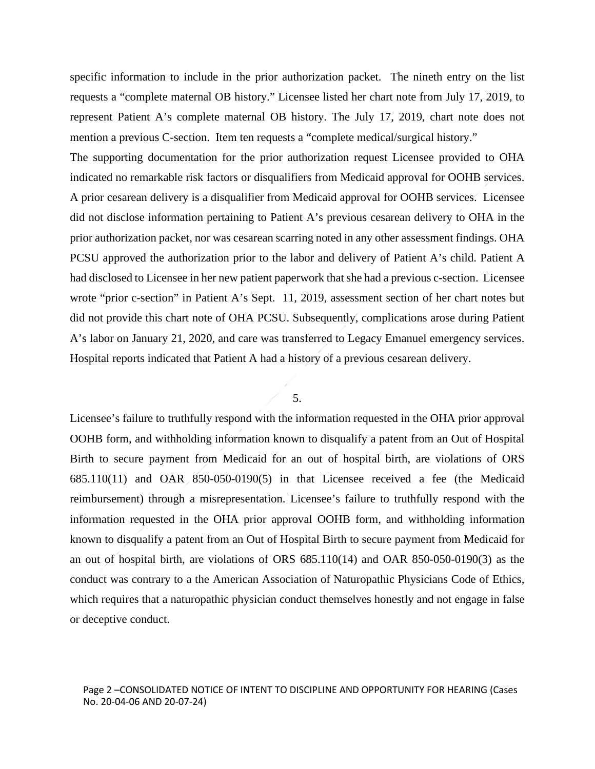specific information to include in the prior authorization packet. The nineth entry on the list requests a "complete maternal OB history." Licensee listed her chart note from July 17, 2019, to represent Patient A's complete maternal OB history. The July 17, 2019, chart note does not mention a previous C-section. Item ten requests a "complete medical/surgical history."

The supporting documentation for the prior authorization request Licensee provided to OHA indicated no remarkable risk factors or disqualifiers from Medicaid approval for OOHB services. A prior cesarean delivery is a disqualifier from Medicaid approval for OOHB services. Licensee did not disclose information pertaining to Patient A's previous cesarean delivery to OHA in the prior authorization packet, nor was cesarean scarring noted in any other assessment findings. OHA PCSU approved the authorization prior to the labor and delivery of Patient A's child. Patient A had disclosed to Licensee in her new patient paperwork that she had a previous c-section. Licensee wrote "prior c-section" in Patient A's Sept. 11, 2019, assessment section of her chart notes but did not provide this chart note of OHA PCSU. Subsequently, complications arose during Patient A's labor on January 21, 2020, and care was transferred to Legacy Emanuel emergency services. Hospital reports indicated that Patient A had a history of a previous cesarean delivery.

#### 5.

Licensee's failure to truthfully respond with the information requested in the OHA prior approval OOHB form, and withholding information known to disqualify a patent from an Out of Hospital Birth to secure payment from Medicaid for an out of hospital birth, are violations of ORS  $685.110(11)$  and OAR  $850-050-0190(5)$  in that Licensee received a fee (the Medicaid reimbursement) through a misrepresentation. Licensee's failure to truthfully respond with the information requested in the OHA prior approval OOHB form, and withholding information known to disqualify a patent from an Out of Hospital Birth to secure payment from Medicaid for an out of hospital birth, are violations of ORS 685.110(14) and OAR 850-050-0190(3) as the conduct was contrary to a the American Association of Naturopathic Physicians Code of Ethics, which requires that a naturopathic physician conduct themselves honestly and not engage in false or deceptive conduct.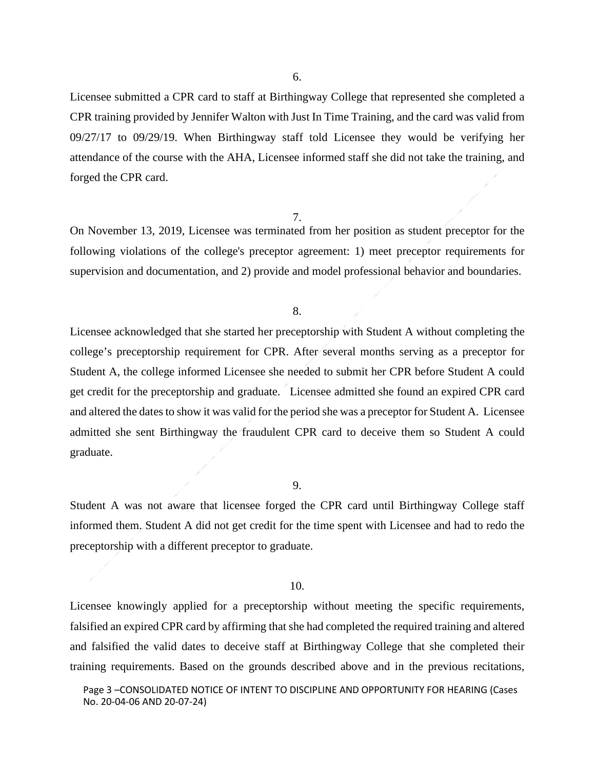Licensee submitted a CPR card to staff at Birthingway College that represented she completed a CPR training provided by Jennifer Walton with Just In Time Training, and the card was valid from 09/27/17 to 09/29/19. When Birthingway staff told Licensee they would be verifying her attendance of the course with the AHA, Licensee informed staff she did not take the training, and forged the CPR card.

#### 7.

On November 13, 2019, Licensee was terminated from her position as student preceptor for the following violations of the college's preceptor agreement: 1) meet preceptor requirements for supervision and documentation, and 2) provide and model professional behavior and boundaries.

### 8.

Licensee acknowledged that she started her preceptorship with Student A without completing the college's preceptorship requirement for CPR. After several months serving as a preceptor for Student A, the college informed Licensee she needed to submit her CPR before Student A could get credit for the preceptorship and graduate. Licensee admitted she found an expired CPR card and altered the dates to show it was valid for the period she was a preceptor for Student A. Licensee admitted she sent Birthingway the fraudulent CPR card to deceive them so Student A could graduate.

#### 9.

Student A was not aware that licensee forged the CPR card until Birthingway College staff informed them. Student A did not get credit for the time spent with Licensee and had to redo the preceptorship with a different preceptor to graduate.

#### 10.

Licensee knowingly applied for a preceptorship without meeting the specific requirements, falsified an expired CPR card by affirming that she had completed the required training and altered and falsified the valid dates to deceive staff at Birthingway College that she completed their training requirements. Based on the grounds described above and in the previous recitations,

Page 3 –CONSOLIDATED NOTICE OF INTENT TO DISCIPLINE AND OPPORTUNITY FOR HEARING (Cases No. 20-04-06 AND 20-07-24)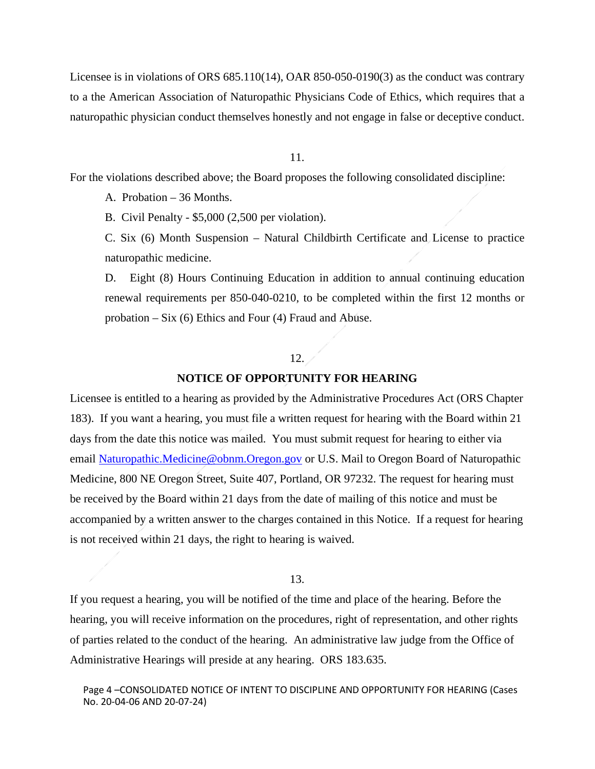Licensee is in violations of ORS 685.110(14), OAR 850-050-0190(3) as the conduct was contrary to a the American Association of Naturopathic Physicians Code of Ethics, which requires that a naturopathic physician conduct themselves honestly and not engage in false or deceptive conduct.

11.

For the violations described above; the Board proposes the following consolidated discipline:

A. Probation – 36 Months.

B. Civil Penalty - \$5,000 (2,500 per violation).

C. Six (6) Month Suspension – Natural Childbirth Certificate and License to practice naturopathic medicine.

D. Eight (8) Hours Continuing Education in addition to annual continuing education renewal requirements per 850-040-0210, to be completed within the first 12 months or probation – Six (6) Ethics and Four (4) Fraud and Abuse.

## $12. \angle$

### **NOTICE OF OPPORTUNITY FOR HEARING**

Licensee is entitled to a hearing as provided by the Administrative Procedures Act (ORS Chapter 183). If you want a hearing, you must file a written request for hearing with the Board within 21 days from the date this notice was mailed. You must submit request for hearing to either via email [Naturopathic.Medicine@obnm.Oregon.gov](mailto:Naturopathic.Medicine@obnm.Oregon.gov) or U.S. Mail to Oregon Board of Naturopathic Medicine, 800 NE Oregon Street, Suite 407, Portland, OR 97232. The request for hearing must be received by the Board within 21 days from the date of mailing of this notice and must be accompanied by a written answer to the charges contained in this Notice. If a request for hearing is not received within 21 days, the right to hearing is waived.

# 13.

If you request a hearing, you will be notified of the time and place of the hearing. Before the hearing, you will receive information on the procedures, right of representation, and other rights of parties related to the conduct of the hearing. An administrative law judge from the Office of Administrative Hearings will preside at any hearing. ORS 183.635.

Page 4 –CONSOLIDATED NOTICE OF INTENT TO DISCIPLINE AND OPPORTUNITY FOR HEARING (Cases No. 20-04-06 AND 20-07-24)